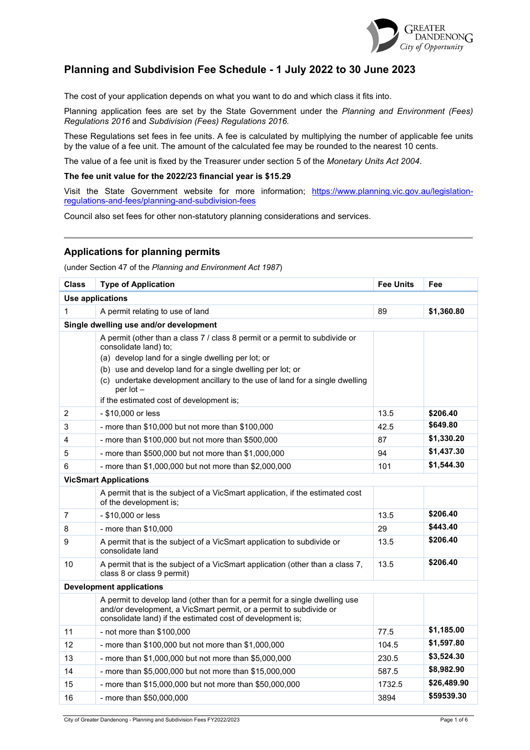

## **Planning and Subdivision Fee Schedule - 1 July 2022 to 30 June 2023**

The cost of your application depends on what you want to do and which class it fits into.

Planning application fees are set by the State Government under the *Planning and Environment (Fees) Regulations 2016* and *Subdivision (Fees) Regulations 2016.*

These Regulations set fees in fee units. A fee is calculated by multiplying the number of applicable fee units by the value of a fee unit. The amount of the calculated fee may be rounded to the nearest 10 cents.

The value of a fee unit is fixed by the Treasurer under section 5 of the *Monetary Units Act 2004*.

#### **The fee unit value for the 2022/23 financial year is \$15.29**

Visit the State Government website for more information; [https://www.planning.vic.gov.au/legislation](https://www.planning.vic.gov.au/legislation-regulations-and-fees/planning-and-subdivision-fees)[regulations-and-fees/planning-and-subdivision-fees](https://www.planning.vic.gov.au/legislation-regulations-and-fees/planning-and-subdivision-fees)

Council also set fees for other non-statutory planning considerations and services.

### **Applications for planning permits**

(under Section 47 of the *Planning and Environment Act 1987*)

| <b>Class</b> | <b>Type of Application</b>                                                                                                                                                                                      |        | Fee         |  |
|--------------|-----------------------------------------------------------------------------------------------------------------------------------------------------------------------------------------------------------------|--------|-------------|--|
|              | <b>Use applications</b>                                                                                                                                                                                         |        |             |  |
| $\mathbf{1}$ | A permit relating to use of land                                                                                                                                                                                | 89     | \$1,360.80  |  |
|              | Single dwelling use and/or development                                                                                                                                                                          |        |             |  |
|              | A permit (other than a class 7 / class 8 permit or a permit to subdivide or<br>consolidate land) to;                                                                                                            |        |             |  |
|              | (a) develop land for a single dwelling per lot; or                                                                                                                                                              |        |             |  |
|              | (b) use and develop land for a single dwelling per lot; or                                                                                                                                                      |        |             |  |
|              | (c) undertake development ancillary to the use of land for a single dwelling<br>$per$ lot $-$                                                                                                                   |        |             |  |
|              | if the estimated cost of development is;                                                                                                                                                                        |        |             |  |
| 2            | - \$10,000 or less                                                                                                                                                                                              | 13.5   | \$206.40    |  |
| 3            | - more than $$10,000$ but not more than $$100,000$                                                                                                                                                              | 42.5   | \$649.80    |  |
| 4            | - more than \$100,000 but not more than \$500,000                                                                                                                                                               | 87     | \$1,330.20  |  |
| 5            | - more than \$500,000 but not more than \$1,000,000                                                                                                                                                             | 94     | \$1,437.30  |  |
| 6            | - more than \$1,000,000 but not more than \$2,000,000                                                                                                                                                           | 101    | \$1,544.30  |  |
|              | <b>VicSmart Applications</b>                                                                                                                                                                                    |        |             |  |
|              | A permit that is the subject of a VicSmart application, if the estimated cost<br>of the development is;                                                                                                         |        |             |  |
| 7            | - \$10,000 or less                                                                                                                                                                                              | 13.5   | \$206.40    |  |
| 8            | - more than $$10,000$                                                                                                                                                                                           | 29     | \$443.40    |  |
| 9            | A permit that is the subject of a VicSmart application to subdivide or<br>consolidate land                                                                                                                      | 13.5   | \$206.40    |  |
| 10           | A permit that is the subject of a VicSmart application (other than a class 7,<br>class 8 or class 9 permit)                                                                                                     | 13.5   | \$206.40    |  |
|              | <b>Development applications</b>                                                                                                                                                                                 |        |             |  |
|              | A permit to develop land (other than for a permit for a single dwelling use<br>and/or development, a VicSmart permit, or a permit to subdivide or<br>consolidate land) if the estimated cost of development is; |        |             |  |
| 11           | - not more than \$100,000                                                                                                                                                                                       | 77.5   | \$1,185.00  |  |
| 12           | - more than \$100,000 but not more than \$1,000,000                                                                                                                                                             | 104.5  | \$1,597.80  |  |
| 13           | - more than \$1,000,000 but not more than \$5,000,000                                                                                                                                                           | 230.5  | \$3,524.30  |  |
| 14           | - more than \$5,000,000 but not more than \$15,000,000                                                                                                                                                          | 587.5  | \$8,982.90  |  |
| 15           | - more than \$15,000,000 but not more than \$50,000,000                                                                                                                                                         | 1732.5 | \$26,489.90 |  |
| 16           | - more than \$50,000,000                                                                                                                                                                                        | 3894   | \$59539.30  |  |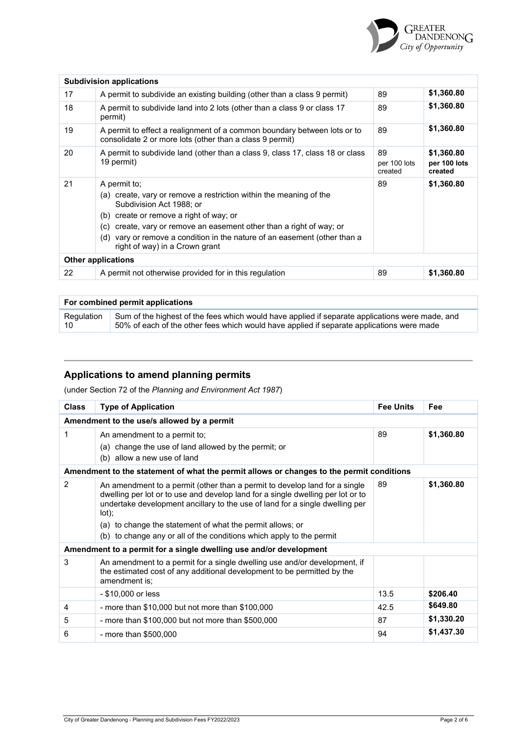

|    | <b>Subdivision applications</b>                                                                                                                                                                                                                                                                                                                           |                               |                                       |  |  |  |
|----|-----------------------------------------------------------------------------------------------------------------------------------------------------------------------------------------------------------------------------------------------------------------------------------------------------------------------------------------------------------|-------------------------------|---------------------------------------|--|--|--|
| 17 | A permit to subdivide an existing building (other than a class 9 permit)                                                                                                                                                                                                                                                                                  | 89                            | \$1,360.80                            |  |  |  |
| 18 | A permit to subdivide land into 2 lots (other than a class 9 or class 17<br>permit)                                                                                                                                                                                                                                                                       | 89                            | \$1,360.80                            |  |  |  |
| 19 | A permit to effect a realignment of a common boundary between lots or to<br>consolidate 2 or more lots (other than a class 9 permit)                                                                                                                                                                                                                      | 89                            | \$1,360.80                            |  |  |  |
| 20 | A permit to subdivide land (other than a class 9, class 17, class 18 or class<br>19 permit)                                                                                                                                                                                                                                                               | 89<br>per 100 lots<br>created | \$1,360.80<br>per 100 lots<br>created |  |  |  |
| 21 | A permit to:<br>(a) create, vary or remove a restriction within the meaning of the<br>Subdivision Act 1988; or<br>create or remove a right of way; or<br>(b)<br>create, vary or remove an easement other than a right of way; or<br>(c)<br>vary or remove a condition in the nature of an easement (other than a<br>(d)<br>right of way) in a Crown grant | 89                            | \$1,360.80                            |  |  |  |
|    | <b>Other applications</b>                                                                                                                                                                                                                                                                                                                                 |                               |                                       |  |  |  |
| 22 | A permit not otherwise provided for in this regulation                                                                                                                                                                                                                                                                                                    | 89                            | \$1,360.80                            |  |  |  |

| For combined permit applications |                                                                                                 |  |  |  |
|----------------------------------|-------------------------------------------------------------------------------------------------|--|--|--|
| Regulation                       | Sum of the highest of the fees which would have applied if separate applications were made, and |  |  |  |
| 10                               | 50% of each of the other fees which would have applied if separate applications were made       |  |  |  |

## **Applications to amend planning permits**

(under Section 72 of the *Planning and Environment Act 1987*)

| <b>Class</b>                               | <b>Type of Application</b>                                                                                                                                                                                                                                                                                                                                                                  | <b>Fee Units</b> | Fee        |  |  |
|--------------------------------------------|---------------------------------------------------------------------------------------------------------------------------------------------------------------------------------------------------------------------------------------------------------------------------------------------------------------------------------------------------------------------------------------------|------------------|------------|--|--|
| Amendment to the use/s allowed by a permit |                                                                                                                                                                                                                                                                                                                                                                                             |                  |            |  |  |
| 1                                          | An amendment to a permit to;<br>(a) change the use of land allowed by the permit; or<br>(b) allow a new use of land                                                                                                                                                                                                                                                                         | 89               | \$1,360.80 |  |  |
|                                            | Amendment to the statement of what the permit allows or changes to the permit conditions                                                                                                                                                                                                                                                                                                    |                  |            |  |  |
| 2                                          | An amendment to a permit (other than a permit to develop land for a single<br>dwelling per lot or to use and develop land for a single dwelling per lot or to<br>undertake development ancillary to the use of land for a single dwelling per<br>lot);<br>(a) to change the statement of what the permit allows; or<br>(b) to change any or all of the conditions which apply to the permit | 89               | \$1,360.80 |  |  |
|                                            | Amendment to a permit for a single dwelling use and/or development                                                                                                                                                                                                                                                                                                                          |                  |            |  |  |
| 3                                          | An amendment to a permit for a single dwelling use and/or development, if<br>the estimated cost of any additional development to be permitted by the<br>amendment is:                                                                                                                                                                                                                       |                  |            |  |  |
|                                            | - \$10,000 or less                                                                                                                                                                                                                                                                                                                                                                          | 13.5             | \$206.40   |  |  |
| 4                                          | - more than \$10,000 but not more than \$100,000                                                                                                                                                                                                                                                                                                                                            | 42.5             | \$649.80   |  |  |
| 5                                          | - more than \$100,000 but not more than \$500,000                                                                                                                                                                                                                                                                                                                                           | 87               | \$1,330.20 |  |  |
| 6                                          | - more than \$500,000                                                                                                                                                                                                                                                                                                                                                                       | 94               | \$1,437.30 |  |  |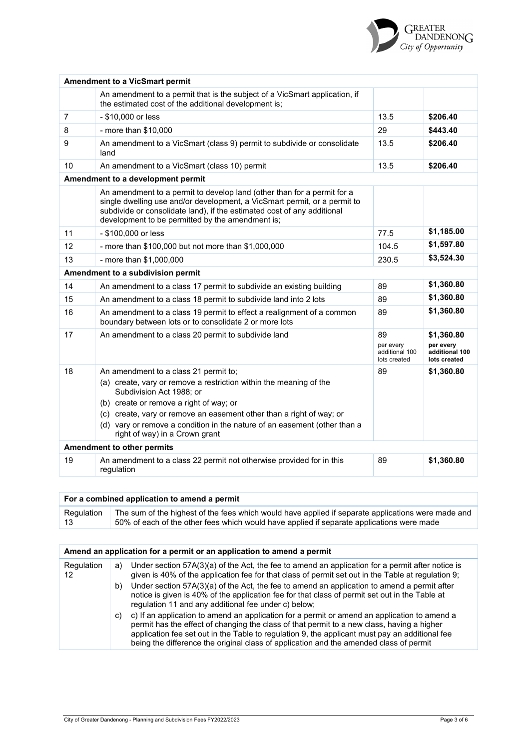|    | <b>Amendment to a VicSmart permit</b>                                                                                                                                                                                                                                               |                                                   |                                                           |
|----|-------------------------------------------------------------------------------------------------------------------------------------------------------------------------------------------------------------------------------------------------------------------------------------|---------------------------------------------------|-----------------------------------------------------------|
|    | An amendment to a permit that is the subject of a VicSmart application, if<br>the estimated cost of the additional development is;                                                                                                                                                  |                                                   |                                                           |
| 7  | - \$10,000 or less                                                                                                                                                                                                                                                                  | 13.5                                              | \$206.40                                                  |
| 8  | - more than $$10,000$                                                                                                                                                                                                                                                               | 29                                                | \$443.40                                                  |
| 9  | An amendment to a VicSmart (class 9) permit to subdivide or consolidate<br>land                                                                                                                                                                                                     | 13.5                                              | \$206.40                                                  |
| 10 | An amendment to a VicSmart (class 10) permit                                                                                                                                                                                                                                        | 13.5                                              | \$206.40                                                  |
|    | Amendment to a development permit                                                                                                                                                                                                                                                   |                                                   |                                                           |
|    | An amendment to a permit to develop land (other than for a permit for a<br>single dwelling use and/or development, a VicSmart permit, or a permit to<br>subdivide or consolidate land), if the estimated cost of any additional<br>development to be permitted by the amendment is; |                                                   |                                                           |
| 11 | - \$100,000 or less                                                                                                                                                                                                                                                                 | 77.5                                              | \$1,185.00                                                |
| 12 | - more than \$100,000 but not more than \$1,000,000                                                                                                                                                                                                                                 | 104.5                                             | \$1,597.80                                                |
| 13 | - more than \$1,000,000                                                                                                                                                                                                                                                             | 230.5                                             | \$3,524.30                                                |
|    | Amendment to a subdivision permit                                                                                                                                                                                                                                                   |                                                   |                                                           |
| 14 | An amendment to a class 17 permit to subdivide an existing building                                                                                                                                                                                                                 |                                                   | \$1,360.80                                                |
| 15 | An amendment to a class 18 permit to subdivide land into 2 lots                                                                                                                                                                                                                     | 89                                                | \$1,360.80                                                |
| 16 | An amendment to a class 19 permit to effect a realignment of a common<br>boundary between lots or to consolidate 2 or more lots                                                                                                                                                     | 89                                                | \$1,360.80                                                |
| 17 | An amendment to a class 20 permit to subdivide land                                                                                                                                                                                                                                 | 89<br>per every<br>additional 100<br>lots created | \$1,360.80<br>per every<br>additional 100<br>lots created |
| 18 | An amendment to a class 21 permit to;                                                                                                                                                                                                                                               | 89                                                | \$1,360.80                                                |
|    | (a) create, vary or remove a restriction within the meaning of the<br>Subdivision Act 1988; or                                                                                                                                                                                      |                                                   |                                                           |
|    | (b) create or remove a right of way; or                                                                                                                                                                                                                                             |                                                   |                                                           |
|    | (c) create, vary or remove an easement other than a right of way; or<br>(d) vary or remove a condition in the nature of an easement (other than a<br>right of way) in a Crown grant                                                                                                 |                                                   |                                                           |
|    | Amendment to other permits                                                                                                                                                                                                                                                          |                                                   |                                                           |
| 19 | An amendment to a class 22 permit not otherwise provided for in this<br>regulation                                                                                                                                                                                                  | 89                                                | \$1,360.80                                                |

| For a combined application to amend a permit |                                                                                                    |  |  |
|----------------------------------------------|----------------------------------------------------------------------------------------------------|--|--|
| Regulation                                   | The sum of the highest of the fees which would have applied if separate applications were made and |  |  |
| -13                                          | 50% of each of the other fees which would have applied if separate applications were made          |  |  |

|                  | Amend an application for a permit or an application to amend a permit |                                                                                                                                                                                                                                                                                                                                                                                        |  |  |  |
|------------------|-----------------------------------------------------------------------|----------------------------------------------------------------------------------------------------------------------------------------------------------------------------------------------------------------------------------------------------------------------------------------------------------------------------------------------------------------------------------------|--|--|--|
| Regulation<br>12 | a)                                                                    | Under section $57A(3)(a)$ of the Act, the fee to amend an application for a permit after notice is<br>given is 40% of the application fee for that class of permit set out in the Table at regulation 9;                                                                                                                                                                               |  |  |  |
|                  | b)                                                                    | Under section $57A(3)(a)$ of the Act, the fee to amend an application to amend a permit after<br>notice is given is 40% of the application fee for that class of permit set out in the Table at<br>regulation 11 and any additional fee under c) below;                                                                                                                                |  |  |  |
|                  | C)                                                                    | c) If an application to amend an application for a permit or amend an application to amend a<br>permit has the effect of changing the class of that permit to a new class, having a higher<br>application fee set out in the Table to regulation 9, the applicant must pay an additional fee<br>being the difference the original class of application and the amended class of permit |  |  |  |

GREATER<br>DANDENONG<br>City of Opportunity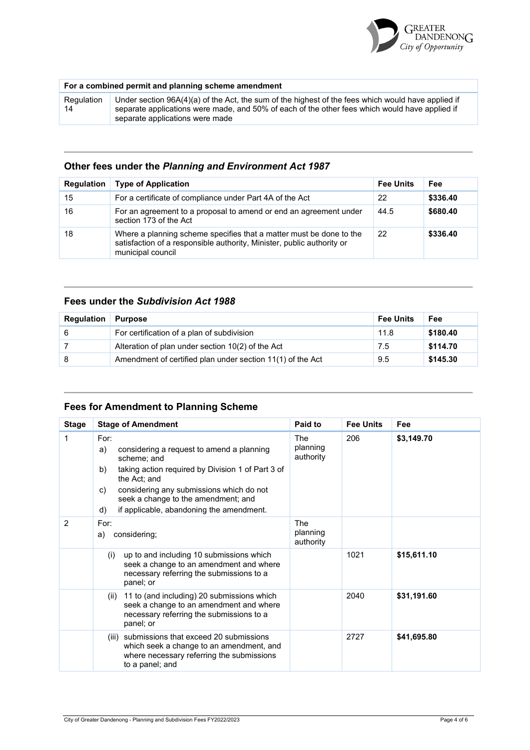

### **For a combined permit and planning scheme amendment**

Regulation 14 Under section 96A(4)(a) of the Act, the sum of the highest of the fees which would have applied if separate applications were made, and 50% of each of the other fees which would have applied if separate applications were made

### **Other fees under the** *Planning and Environment Act 1987*

| <b>Regulation</b> | <b>Type of Application</b>                                                                                                                                         | <b>Fee Units</b> | Fee      |
|-------------------|--------------------------------------------------------------------------------------------------------------------------------------------------------------------|------------------|----------|
| 15                | For a certificate of compliance under Part 4A of the Act                                                                                                           | 22               | \$336.40 |
| 16                | For an agreement to a proposal to amend or end an agreement under<br>section 173 of the Act                                                                        | 44.5             | \$680.40 |
| 18                | Where a planning scheme specifies that a matter must be done to the<br>satisfaction of a responsible authority, Minister, public authority or<br>municipal council | <b>22</b>        | \$336.40 |

### **Fees under the** *Subdivision Act 1988*

| <b>Regulation</b> | <b>Purpose</b>                                             | <b>Fee Units</b> | Fee      |
|-------------------|------------------------------------------------------------|------------------|----------|
| 6                 | For certification of a plan of subdivision                 | 11.8             | \$180.40 |
|                   | Alteration of plan under section 10(2) of the Act          | 7.5              | \$114.70 |
|                   | Amendment of certified plan under section 11(1) of the Act | 9.5              | \$145.30 |

## **Fees for Amendment to Planning Scheme**

| <b>Stage</b>   | <b>Stage of Amendment</b>                                                                                                                                                                                                                                                                    | Paid to                             | <b>Fee Units</b> | Fee         |
|----------------|----------------------------------------------------------------------------------------------------------------------------------------------------------------------------------------------------------------------------------------------------------------------------------------------|-------------------------------------|------------------|-------------|
| 1              | For:<br>a)<br>considering a request to amend a planning<br>scheme; and<br>taking action required by Division 1 of Part 3 of<br>b)<br>the Act; and<br>considering any submissions which do not<br>C)<br>seek a change to the amendment; and<br>if applicable, abandoning the amendment.<br>d) | The<br>planning<br>authority        | 206              | \$3,149.70  |
| $\overline{2}$ | For:<br>considering;<br>a)                                                                                                                                                                                                                                                                   | <b>The</b><br>planning<br>authority |                  |             |
|                | up to and including 10 submissions which<br>(i)<br>seek a change to an amendment and where<br>necessary referring the submissions to a<br>panel; or                                                                                                                                          |                                     | 1021             | \$15,611.10 |
|                | 11 to (and including) 20 submissions which<br>(ii)<br>seek a change to an amendment and where<br>necessary referring the submissions to a<br>panel; or                                                                                                                                       |                                     | 2040             | \$31,191.60 |
|                | (iii) submissions that exceed 20 submissions<br>which seek a change to an amendment, and<br>where necessary referring the submissions<br>to a panel; and                                                                                                                                     |                                     | 2727             | \$41,695.80 |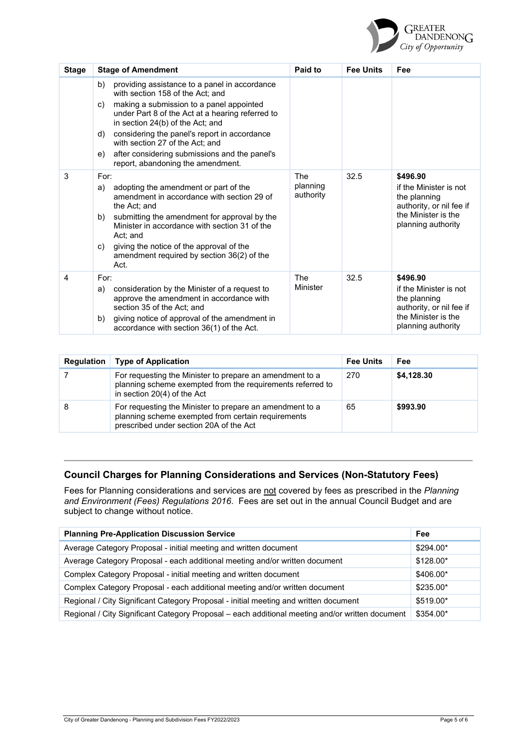

| <b>Stage</b> | <b>Stage of Amendment</b>                                                                                                                                                                                                                                                                                                                                                                                              | Paid to                      | <b>Fee Units</b> | Fee                                                                                                                         |
|--------------|------------------------------------------------------------------------------------------------------------------------------------------------------------------------------------------------------------------------------------------------------------------------------------------------------------------------------------------------------------------------------------------------------------------------|------------------------------|------------------|-----------------------------------------------------------------------------------------------------------------------------|
|              | providing assistance to a panel in accordance<br>b)<br>with section 158 of the Act: and<br>making a submission to a panel appointed<br>C)<br>under Part 8 of the Act at a hearing referred to<br>in section 24(b) of the Act; and<br>considering the panel's report in accordance<br>d)<br>with section 27 of the Act: and<br>after considering submissions and the panel's<br>e)<br>report, abandoning the amendment. |                              |                  |                                                                                                                             |
| 3            | For:<br>adopting the amendment or part of the<br>a)<br>amendment in accordance with section 29 of<br>the Act; and<br>submitting the amendment for approval by the<br>b)<br>Minister in accordance with section 31 of the<br>Act; and<br>giving the notice of the approval of the<br>C)<br>amendment required by section 36(2) of the<br>Act.                                                                           | The<br>planning<br>authority | 32.5             | \$496.90<br>if the Minister is not<br>the planning<br>authority, or nil fee if<br>the Minister is the<br>planning authority |
| 4            | For:<br>consideration by the Minister of a request to<br>a)<br>approve the amendment in accordance with<br>section 35 of the Act; and<br>giving notice of approval of the amendment in<br>b)<br>accordance with section 36(1) of the Act.                                                                                                                                                                              | The<br>Minister              | 32.5             | \$496.90<br>if the Minister is not<br>the planning<br>authority, or nil fee if<br>the Minister is the<br>planning authority |

| <b>Regulation</b> | <b>Type of Application</b>                                                                                                                                | <b>Fee Units</b> | Fee        |
|-------------------|-----------------------------------------------------------------------------------------------------------------------------------------------------------|------------------|------------|
|                   | For requesting the Minister to prepare an amendment to a<br>planning scheme exempted from the requirements referred to<br>in section 20(4) of the Act     | -270             | \$4,128.30 |
| 8                 | For requesting the Minister to prepare an amendment to a<br>planning scheme exempted from certain requirements<br>prescribed under section 20A of the Act | 65               | \$993.90   |

# **Council Charges for Planning Considerations and Services (Non-Statutory Fees)**

Fees for Planning considerations and services are not covered by fees as prescribed in the *Planning*  and Environment (Fees) Regulations 2016. Fees are set out in the annual Council Budget and are subject to change without notice.

| <b>Planning Pre-Application Discussion Service</b>                                              | <b>Fee</b> |
|-------------------------------------------------------------------------------------------------|------------|
| Average Category Proposal - initial meeting and written document                                | $$294.00*$ |
| Average Category Proposal - each additional meeting and/or written document                     | \$128.00*  |
| Complex Category Proposal - initial meeting and written document                                | \$406.00*  |
| Complex Category Proposal - each additional meeting and/or written document                     | \$235.00*  |
| Regional / City Significant Category Proposal - initial meeting and written document            | \$519.00*  |
| Regional / City Significant Category Proposal - each additional meeting and/or written document | \$354.00*  |